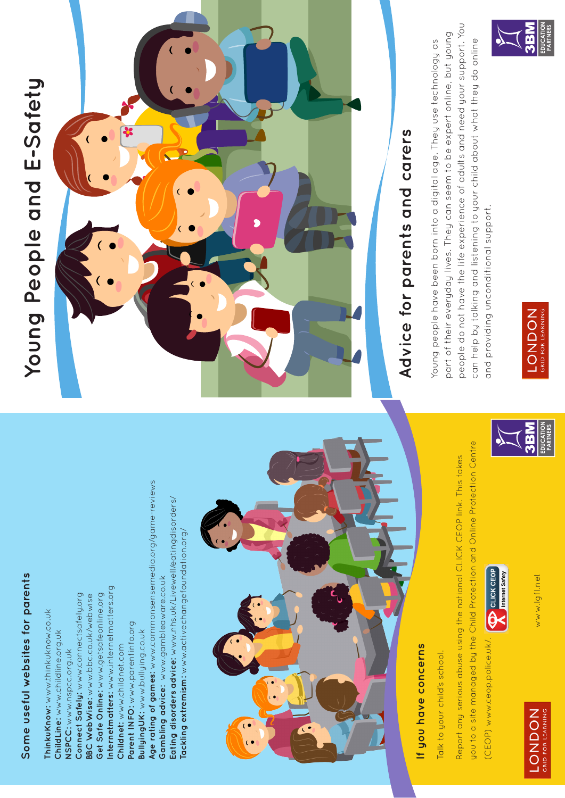## Some useful websites for parents **Some useful websites for parents**

Age rating of games: www.commonsensemedia.org/game-reviews **Age rating of games:** www.commonsensemedia.org/game-reviews Eating disorders advice: www.nhs.uk/Livewell/eatingdisorders/ **Eating disorders advice:** www.nhs.uk/Livewell/eatingdisorders/ lackling extremism: www.activechangefoundation.org/ **Tackling extremism:** www.activechangefoundation.org/ Gambling advice: www.gambleaware.co.uk **Gambling advice:** www.gambleaware.co.uk Internetmatters: www.internetmatters.org **Internetmatters:** www.internetmatters.org Get Safe Online: www.getsafeonline.org Connect Safely: www.connectsafely.org **Connect Safely:** www.connectsafely.org **BBC WebWise:** www.bbc.co.uk/webwise **Get Safe Online:** www.getsafeonline.org **BBC WebWise:** www.bbc.co.uk/webwise Thinku Know: www.thinkuknow.co.uk **ThinkuKnow:** www.thinkuknow.co.uk Parent INFO: www.parentinfo.org **Parent INFO:** www.parentinfo.org **BullyingUK:** www.bullying.co.uk Bullying UK: www.bullying.co.uk ChildLine: www.childline.org.uk **ChildLine:** www.childline.org.uk Childnet: www.childnet.com **Childnet:** www.childnet.com NSPCC: www.nspcc.org.uk **NSPCC:** www.nspcc.org.uk



## If you have concerns **If you have concerns**

Talk to your child's school. Talk to your child's school.

you to a site managed by the Child Protection and Online Protection Centre you to a site managed by the Child Protection and Online Protection Centre Report any serious abuse using the national CLICK CEOP link. This takes Report any serious abuse using the national CLICK CEOP link. This takes

**ON** CLICK CEOP (CEOP) www.ceop.police.uk/. (CEOP) www.ceop.police.uk/



www.lgfl.net www.lgfl.net



# Young People and E-Safety **Young People and E-Safety**



## Advice for parents and carers **Advice for parents and carers**

people do not have the life experience of adults and need your support. You people do not have the life experience of adults and need your support. You part of their everyday lives. They can seem to be expert online, but young part of their everyday lives. They can seem to be expert online, but young can help by talking and listening to your child about what they do online can help by talking and listening to your child about what they do online Young people have been born into a digital age. They use technology as Young people have been born into a digital age. They use technology as and providing unconditional support. and providing unconditional support.



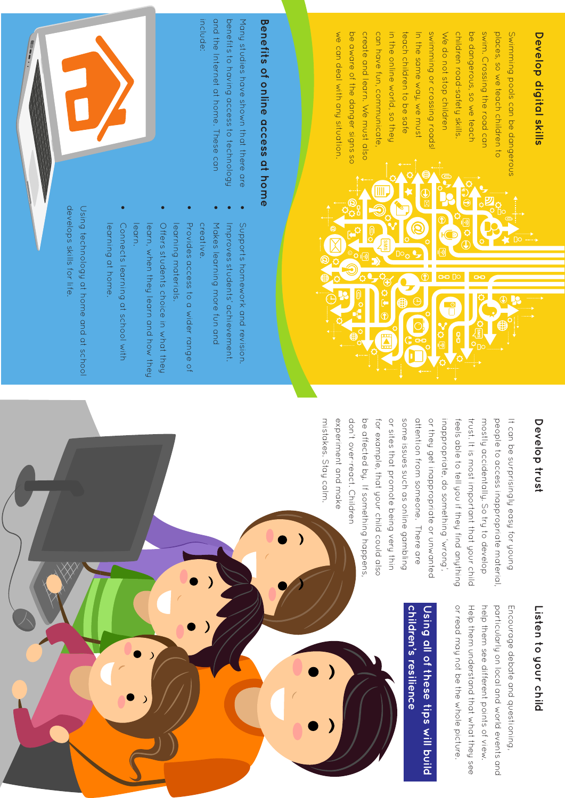## **Develop digital skills Develop digital skills**

we can deal with any situation. be aware of the danger signs so create and learn. We must also can have fun, communicate, in the online world, so they teach children to be sate In the same way, we must shou buissous or crossing roads children road-safety skills. be dangerous, so we teach swim. Crossing the road can places, so we teach children to Swimming pools can be dangerous We do not stop children we can deal with any situation. be aware of the danger signs so create and learn. We must also can have fun, communicate, in the online world, so they teach children to be safe In the same way, we must swimming or crossing roads! We do not stop children children road-safety skills. be dangerous, so we teach swim. Crossing the road can places, so we teach children to Swimming pools can be dangerous

## Benefits of online access at home **Benefits of online access at home**

and the internet at home. These can benefits to having access to technology include: and the Internet at home. These can benefits to having access to technology Many studies have shown that there are Many studies have shown that there are

- 
- Improves students' achievement Supports homework and revision. Improves students' achievement. Supports homework and revision.

• 

- • • Makes learning more fun and Makes learning more fun and
- Provides access to a wider range of creative. Provides access to a wider range of

• 

Offers students choice in what they learning materials. Offers students choice in what they learning materials.

• 

- learn. learn, when they learn and how they learn, when they learn and how they
- Connects learning at school with learning at home. learning at home. Connects learning at school with

• 

develops skills for life Using technology at home and at schoo develops skills for life. Using technology at home and at school

#### Develop trust **Develop trust**

mistakes. Stay calm don't over-react. Children be affected by. If something happens or sites that promote being very thin some issues such as online gambling attention from someone. There are or they get inappropriate or unwanted inappropriate, do something 'wrong', trust. It is most important that your child mostly accidentally. So try to develop It can be surprisingly easy tor young experiment and make for example, that your child could also feels able to tell you if they find anything people to access inappropriate material mistakes. Stay calm. experiment and make don't over-react. Children be affected by. If something happens, for example, that your child could also or sites that promote being very thin some issues such as online gambling attention from someone. There are or they get inappropriate or unwanted inappropriate, do something 'wrong', feels able to tell you if they find anything trust. It is most important that your child mostly accidentally. So try to develop people to access inappropriate material, It can be surprisingly easy for young

### Listen to your child **Listen to your child**

or read may not be the whole picture. Help them understand that what they see help them see different points of view. particularly on local and world events and Encourage debate and questioning, or read may not be the whole picture. Help them understand that what they see help them see different points of view. particularly on local and world events and Encourage debate and questioning,

#### children's resilience **children's resilience Using all of these tips will build**  Using all of these tips will build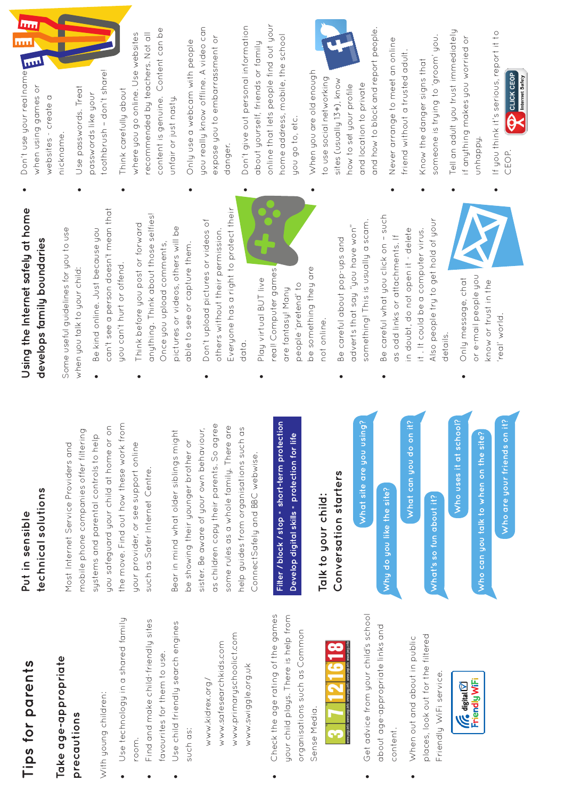## **Tips for parents**Tips for parents

#### **Take age-appropriate**  Take age-appropriate precautions **precautions**

With young children: With young children:

- • Use technology in a shared family Use technology in a shared family room.
	- • Find and make child-friendly sites Find and make child-friendly sites favourites for them to use. favourites for them to use.
		- • Use child friendly search engines Use child friendly search engines such as:

www.primaryschoolict.com www.primaryschoolict.com www.safesearchkids.com www.safesearchkids.com www.swiggle.org.uk www.swiggle.org.uk www.kidrex.org/ www.kidrex.org/

• Check the age rating of the games Check the age rating of the games your child plays. There is help from your child plays. There is help from organisations such as Common organisations such as Common Sense Media. Sense Media.



- • Get advice from your child's school Get advice from your child's school about age-appropriate links and about age-appropriate links and content.
- places, look out for the filtered places, look out for the filtered • When out and about in public When out and about in public Friendly WiFi service. Friendly WiFi service.



#### technical solutions **technical solutions** Put in sensible **Put in sensible**

the move. Find out how these work from you safeguard your child at home or on the move. Find out how these work from jou safeguard your child at home or on mobile phone companies offer filtering mobile phone companies offer filtering systems and parental controls to help systems and parental controls to help Most Internet Service Providers and Most Internet Service Providers and jour provider, or see support online your provider, or see support online such as Safer Internet Centre. such as Safer Internet Centre.

as children copy their parents. So agree as children copy their parents. So agree some rules as a whole family. There are some rules as a whole family. There are help guides from organisations such as sister. Be aware of your own behaviour, nelp guides from organisations such as Bear in mind what older siblings might sister. Be aware of your own behaviour, Bear in mind what older siblings might be showing their younger brother or be showing their younger brother or ConnectSafely and BBC webwise. ConnectSafely and BBC webwise. Filter / block / stop = short-term protection **Filter / block / stop = short-term protection** Develop digital skills = protection for life **Develop digital skills = protection for life**

Conversation starters **Conversation starters Talk to your child:**  Talk to your child:

What site are you using? **What site are you using?**

Why do you like the site? **Why do you like the site?** What can you do on it? **What can you do on it?**

What's so fun about it? **What's so fun about it?**

**Who uses it at school?**  Who uses it at school?

Who can you talk to when on the site? **Who can you talk to when on the site?** Who are your friends on it? **Who are your friends on it?**

#### **Using the Internet safely at home**  Using the Internet safely at home develops family boundaries **develops family boundaries**

Some useful guidelines for you to use Some useful guidelines for you to use when you talk to your child: when you talk to your child:

- can't see a person doesn't mean that can't see a person doesn't mean that • Be kind online. Just because you Be kind online. Just because you you can't hurt or offend. you can't hurt or offend.
- anything. Think about those selfies! anything. Think about those selfies! • Think before you post or forward Think before you post or forward pictures or videos, others will be pictures or videos, others will be Once you upload comments, Once you upload comments, able to see or capture them. able to see or capture them.
- Everyone has a right to protect their Everyone has a right to protect their • Don't upload pictures or videos of Don't upload pictures or videos of others without their permission. others without their permission. data.
- be something they are reall Computer games real! Computer games be something they are • Play virtual BUT live Play virtual BUT live people 'pretend' to people 'pretend' to are fantasy! Many are fantasy! Many not online. not online.
- something! This is usually a scam. something! This is usually a scam. adverts that say "you have won" adverts that say "you have won" • Be careful about pop-ups and Be careful about pop-ups and
- • Be careful what you click on such Be careful what you click on - such Also people try to get hold of your Also people try to get hold of your in doubt, do not open it - delete in doubt, do not open it - delete it . It could be a computer virus. it. It could be a computer virus. as odd links or attachments. If as odd links or attachments. If details.
- or e-mail people you or e-mail people you • Only message, chat Only message, chat know or trust in the know or trust in the real' world. 'real' world.

• Don't use your real name Don't use your real name when using games or when using games or websites - create a websites - create a nickname. nickname.

 $\bullet$ 

**Inn** 

mu

- toothbrush don't share! toothbrush – don't share! • Use passwords. Treat Use passwords. Treat passwords like your passwords like your
- content is genuine. Content can be content is genuine. Content can be where you go online. Use websites recommended by teachers. Not all where you go online. Use websites recommended by teachers. Not all • Think carefully about Think carefully about unfair or just nasty. unfair or just nasty.
- you really know offline. A video can jou really know offline. A video can expose you to embarrassment or expose you to embarrassment or Only use a webcam with people • Only use a webcam with people danger.
- online that lets people find out your • Don't give out personal information online that lets people find out your Jon't give out personal information nome address, mobile, the school home address, mobile, the school about yourself, friends or family about yourself, friends or family you go to, etc. you go to, etc.
- • When you are old enough When you are old enough to use social networking o use social net working sites (usually 13+), know sites (usually 13+), know now to set your profile and location to private and location to private how to set your profile



- • Never arrange to meet an online Never arrange to meet an online friend without a trusted adult. friend without a trusted adult.
- someone is trying to 'groom' you. someone is trying to 'groom' you. • Know the danger signs that Know the danger signs that
- • Tell an adult you trust immediately Tell an adult you trust immediately if anything makes you worried or if anything makes you worried or unhappy.
- • If you think it's serious, report it to If you think it's serious, report it to CEOP.